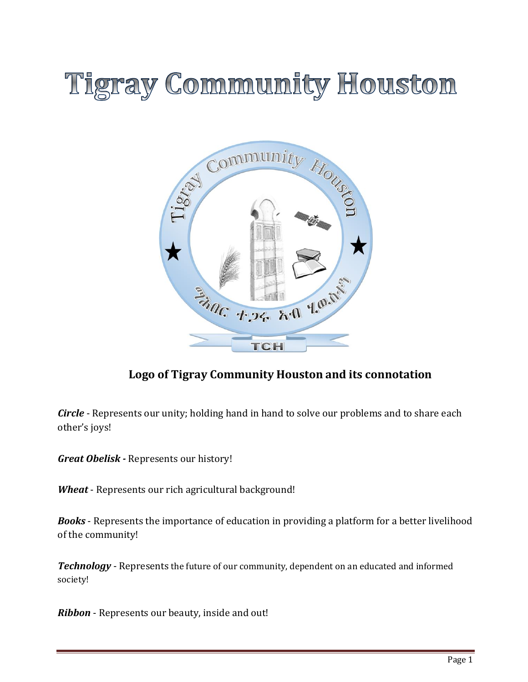# **Tigray Community Houston**



# **Logo of Tigray Community Houston and its connotation**

*Circle* - Represents our unity; holding hand in hand to solve our problems and to share each other's joys!

*Great Obelisk -* Represents our history!

*Wheat* - Represents our rich agricultural background!

*Books* - Represents the importance of education in providing a platform for a better livelihood of the community!

*Technology* - Represents the future of our community, dependent on an educated and informed society!

*Ribbon* - Represents our beauty, inside and out!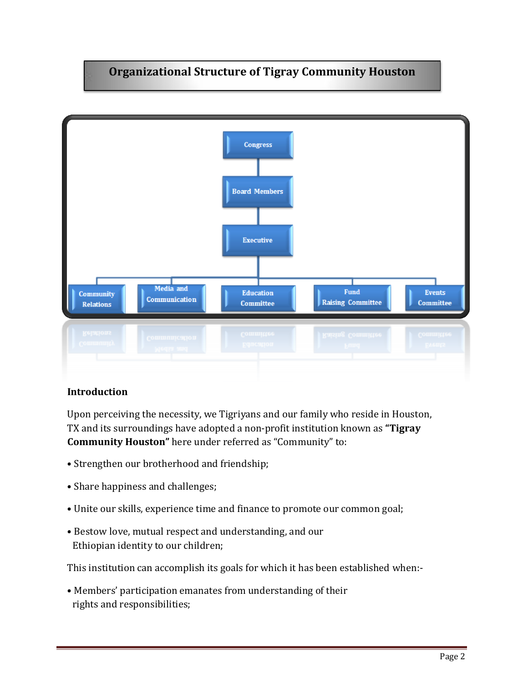# **Organizational Structure of Tigray Community Houston**



#### **Introduction**

Upon perceiving the necessity, we Tigriyans and our family who reside in Houston, TX and its surroundings have adopted a non-profit institution known as **"Tigray Community Houston"** here under referred as "Community" to:

- Strengthen our brotherhood and friendship;
- Share happiness and challenges;
- Unite our skills, experience time and finance to promote our common goal;
- Bestow love, mutual respect and understanding, and our Ethiopian identity to our children;

This institution can accomplish its goals for which it has been established when:-

• Members' participation emanates from understanding of their rights and responsibilities;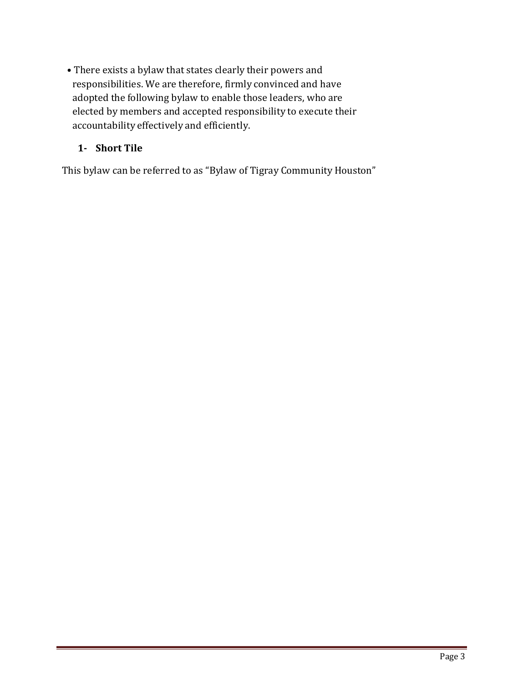• There exists a bylaw that states clearly their powers and responsibilities. We are therefore, firmly convinced and have adopted the following bylaw to enable those leaders, who are elected by members and accepted responsibility to execute their accountability effectively and efficiently.

## **1- Short Tile**

This bylaw can be referred to as "Bylaw of Tigray Community Houston"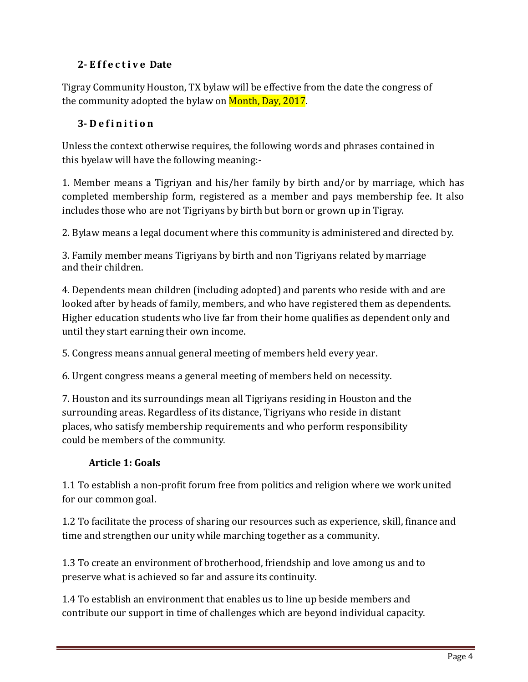# **2- E f f e c t i v e Date**

Tigray Community Houston, TX bylaw will be effective from the date the congress of the community adopted the bylaw on Month, Day, 2017.

# **3- D e f i n i t i o n**

Unless the context otherwise requires, the following words and phrases contained in this byelaw will have the following meaning:-

1. Member means a Tigriyan and his/her family by birth and/or by marriage, which has completed membership form, registered as a member and pays membership fee. It also includes those who are not Tigriyans by birth but born or grown up in Tigray.

2. Bylaw means a legal document where this community is administered and directed by.

3. Family member means Tigriyans by birth and non Tigriyans related by marriage and their children.

4. Dependents mean children (including adopted) and parents who reside with and are looked after by heads of family, members, and who have registered them as dependents. Higher education students who live far from their home qualifies as dependent only and until they start earning their own income.

5. Congress means annual general meeting of members held every year.

6. Urgent congress means a general meeting of members held on necessity.

7. Houston and its surroundings mean all Tigriyans residing in Houston and the surrounding areas. Regardless of its distance, Tigriyans who reside in distant places, who satisfy membership requirements and who perform responsibility could be members of the community.

## **Article 1: Goals**

1.1 To establish a non-profit forum free from politics and religion where we work united for our common goal.

1.2 To facilitate the process of sharing our resources such as experience, skill, finance and time and strengthen our unity while marching together as a community.

1.3 To create an environment of brotherhood, friendship and love among us and to preserve what is achieved so far and assure its continuity.

1.4 To establish an environment that enables us to line up beside members and contribute our support in time of challenges which are beyond individual capacity.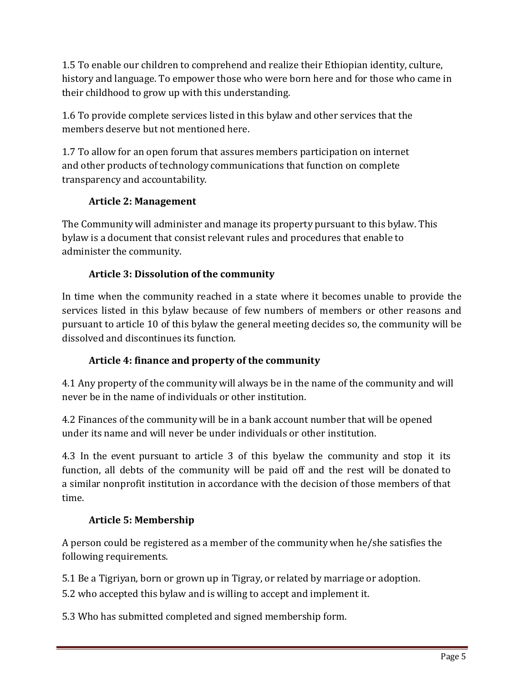1.5 To enable our children to comprehend and realize their Ethiopian identity, culture, history and language. To empower those who were born here and for those who came in their childhood to grow up with this understanding.

1.6 To provide complete services listed in this bylaw and other services that the members deserve but not mentioned here.

1.7 To allow for an open forum that assures members participation on internet and other products of technology communications that function on complete transparency and accountability.

# **Article 2: Management**

The Community will administer and manage its property pursuant to this bylaw. This bylaw is a document that consist relevant rules and procedures that enable to administer the community.

# **Article 3: Dissolution of the community**

In time when the community reached in a state where it becomes unable to provide the services listed in this bylaw because of few numbers of members or other reasons and pursuant to article 10 of this bylaw the general meeting decides so, the community will be dissolved and discontinues its function.

# **Article 4: finance and property of the community**

4.1 Any property of the community will always be in the name of the community and will never be in the name of individuals or other institution.

4.2 Finances of the community will be in a bank account number that will be opened under its name and will never be under individuals or other institution.

4.3 In the event pursuant to article 3 of this byelaw the community and stop it its function, all debts of the community will be paid off and the rest will be donated to a similar nonprofit institution in accordance with the decision of those members of that time.

# **Article 5: Membership**

A person could be registered as a member of the community when he/she satisfies the following requirements.

5.1 Be a Tigriyan, born or grown up in Tigray, or related by marriage or adoption.

5.2 who accepted this bylaw and is willing to accept and implement it.

5.3 Who has submitted completed and signed membership form.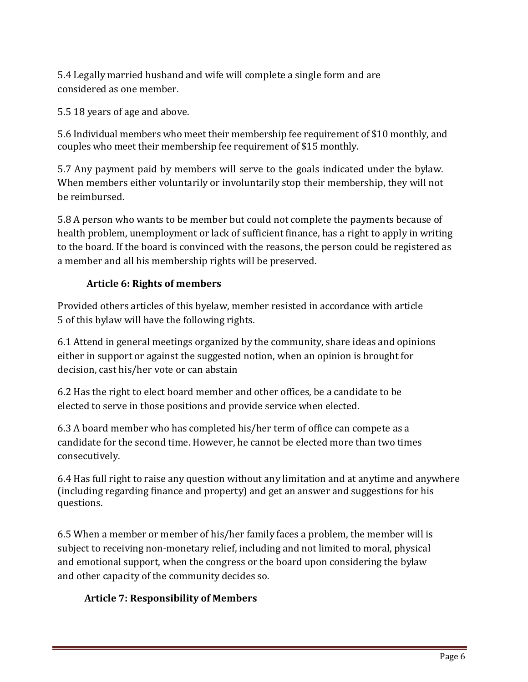5.4 Legally married husband and wife will complete a single form and are considered as one member.

5.5 18 years of age and above.

5.6 Individual members who meet their membership fee requirement of \$10 monthly, and couples who meet their membership fee requirement of \$15 monthly.

5.7 Any payment paid by members will serve to the goals indicated under the bylaw. When members either voluntarily or involuntarily stop their membership, they will not be reimbursed.

5.8 A person who wants to be member but could not complete the payments because of health problem, unemployment or lack of sufficient finance, has a right to apply in writing to the board. If the board is convinced with the reasons, the person could be registered as a member and all his membership rights will be preserved.

# **Article 6: Rights of members**

Provided others articles of this byelaw, member resisted in accordance with article 5 of this bylaw will have the following rights.

6.1 Attend in general meetings organized by the community, share ideas and opinions either in support or against the suggested notion, when an opinion is brought for decision, cast his/her vote or can abstain

6.2 Has the right to elect board member and other offices, be a candidate to be elected to serve in those positions and provide service when elected.

6.3 A board member who has completed his/her term of office can compete as a candidate for the second time. However, he cannot be elected more than two times consecutively.

6.4 Has full right to raise any question without any limitation and at anytime and anywhere (including regarding finance and property) and get an answer and suggestions for his questions.

6.5 When a member or member of his/her family faces a problem, the member will is subject to receiving non-monetary relief, including and not limited to moral, physical and emotional support, when the congress or the board upon considering the bylaw and other capacity of the community decides so.

# **Article 7: Responsibility of Members**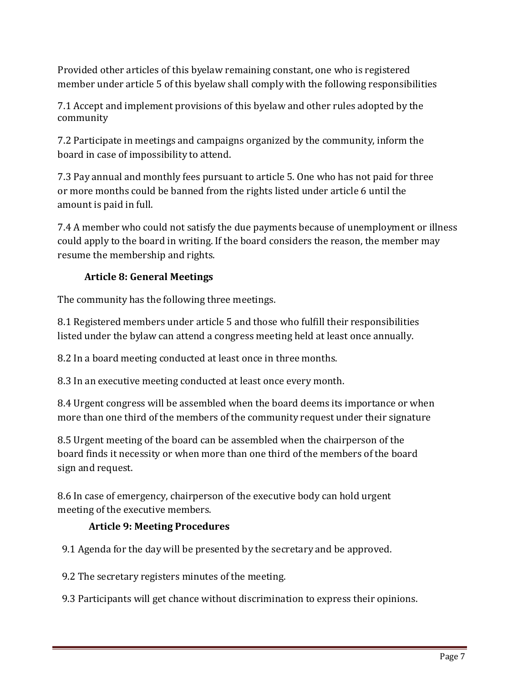Provided other articles of this byelaw remaining constant, one who is registered member under article 5 of this byelaw shall comply with the following responsibilities

7.1 Accept and implement provisions of this byelaw and other rules adopted by the community

7.2 Participate in meetings and campaigns organized by the community, inform the board in case of impossibility to attend.

7.3 Pay annual and monthly fees pursuant to article 5. One who has not paid for three or more months could be banned from the rights listed under article 6 until the amount is paid in full.

7.4 A member who could not satisfy the due payments because of unemployment or illness could apply to the board in writing. If the board considers the reason, the member may resume the membership and rights.

# **Article 8: General Meetings**

The community has the following three meetings.

8.1 Registered members under article 5 and those who fulfill their responsibilities listed under the bylaw can attend a congress meeting held at least once annually.

8.2 In a board meeting conducted at least once in three months.

8.3 In an executive meeting conducted at least once every month.

8.4 Urgent congress will be assembled when the board deems its importance or when more than one third of the members of the community request under their signature

8.5 Urgent meeting of the board can be assembled when the chairperson of the board finds it necessity or when more than one third of the members of the board sign and request.

8.6 In case of emergency, chairperson of the executive body can hold urgent meeting of the executive members.

## **Article 9: Meeting Procedures**

9.1 Agenda for the day will be presented by the secretary and be approved.

9.2 The secretary registers minutes of the meeting.

9.3 Participants will get chance without discrimination to express their opinions.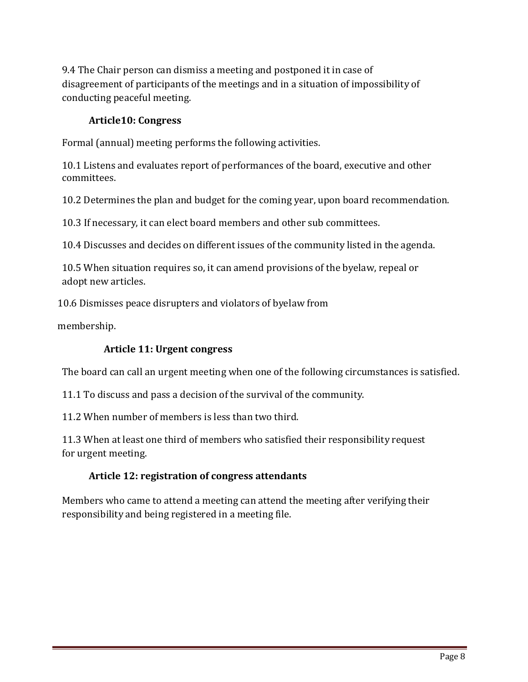9.4 The Chair person can dismiss a meeting and postponed it in case of disagreement of participants of the meetings and in a situation of impossibility of conducting peaceful meeting.

### **Article10: Congress**

Formal (annual) meeting performs the following activities.

10.1 Listens and evaluates report of performances of the board, executive and other committees.

10.2 Determines the plan and budget for the coming year, upon board recommendation.

10.3 If necessary, it can elect board members and other sub committees.

10.4 Discusses and decides on different issues of the community listed in the agenda.

10.5 When situation requires so, it can amend provisions of the byelaw, repeal or adopt new articles.

10.6 Dismisses peace disrupters and violators of byelaw from

membership.

#### **Article 11: Urgent congress**

The board can call an urgent meeting when one of the following circumstances is satisfied.

11.1 To discuss and pass a decision of the survival of the community.

11.2 When number of members is less than two third.

11.3 When at least one third of members who satisfied their responsibility request for urgent meeting.

#### **Article 12: registration of congress attendants**

Members who came to attend a meeting can attend the meeting after verifying their responsibility and being registered in a meeting file.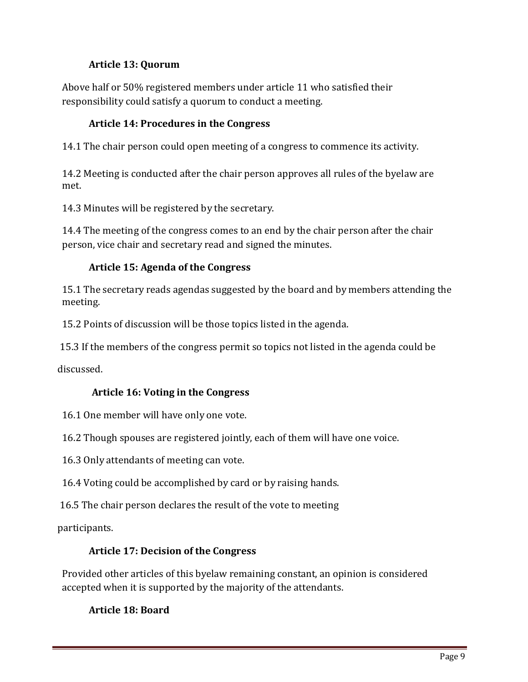## **Article 13: Quorum**

Above half or 50% registered members under article 11 who satisfied their responsibility could satisfy a quorum to conduct a meeting.

## **Article 14: Procedures in the Congress**

14.1 The chair person could open meeting of a congress to commence its activity.

14.2 Meeting is conducted after the chair person approves all rules of the byelaw are met.

14.3 Minutes will be registered by the secretary.

14.4 The meeting of the congress comes to an end by the chair person after the chair person, vice chair and secretary read and signed the minutes.

## **Article 15: Agenda of the Congress**

15.1 The secretary reads agendas suggested by the board and by members attending the meeting.

15.2 Points of discussion will be those topics listed in the agenda.

15.3 If the members of the congress permit so topics not listed in the agenda could be

discussed.

## **Article 16: Voting in the Congress**

16.1 One member will have only one vote.

16.2 Though spouses are registered jointly, each of them will have one voice.

16.3 Only attendants of meeting can vote.

16.4 Voting could be accomplished by card or by raising hands.

16.5 The chair person declares the result of the vote to meeting

participants.

## **Article 17: Decision of the Congress**

Provided other articles of this byelaw remaining constant, an opinion is considered accepted when it is supported by the majority of the attendants.

**Article 18: Board**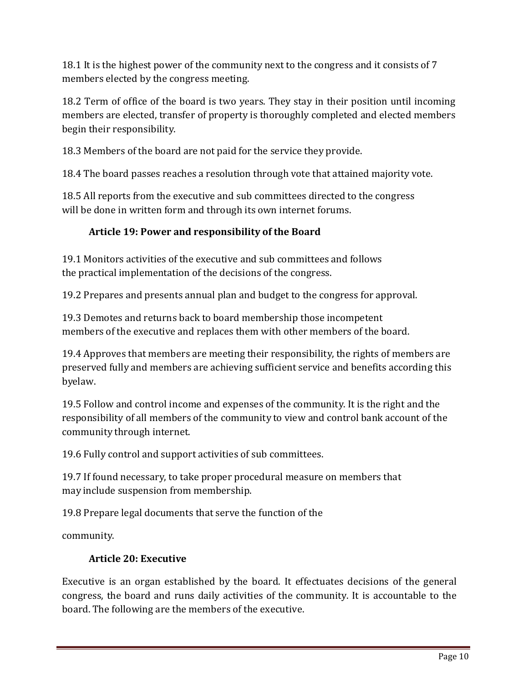18.1 It is the highest power of the community next to the congress and it consists of 7 members elected by the congress meeting.

18.2 Term of office of the board is two years. They stay in their position until incoming members are elected, transfer of property is thoroughly completed and elected members begin their responsibility.

18.3 Members of the board are not paid for the service they provide.

18.4 The board passes reaches a resolution through vote that attained majority vote.

18.5 All reports from the executive and sub committees directed to the congress will be done in written form and through its own internet forums.

# **Article 19: Power and responsibility of the Board**

19.1 Monitors activities of the executive and sub committees and follows the practical implementation of the decisions of the congress.

19.2 Prepares and presents annual plan and budget to the congress for approval.

19.3 Demotes and returns back to board membership those incompetent members of the executive and replaces them with other members of the board.

19.4 Approves that members are meeting their responsibility, the rights of members are preserved fully and members are achieving sufficient service and benefits according this byelaw.

19.5 Follow and control income and expenses of the community. It is the right and the responsibility of all members of the community to view and control bank account of the community through internet.

19.6 Fully control and support activities of sub committees.

19.7 If found necessary, to take proper procedural measure on members that may include suspension from membership.

19.8 Prepare legal documents that serve the function of the

community.

## **Article 20: Executive**

Executive is an organ established by the board. It effectuates decisions of the general congress, the board and runs daily activities of the community. It is accountable to the board. The following are the members of the executive.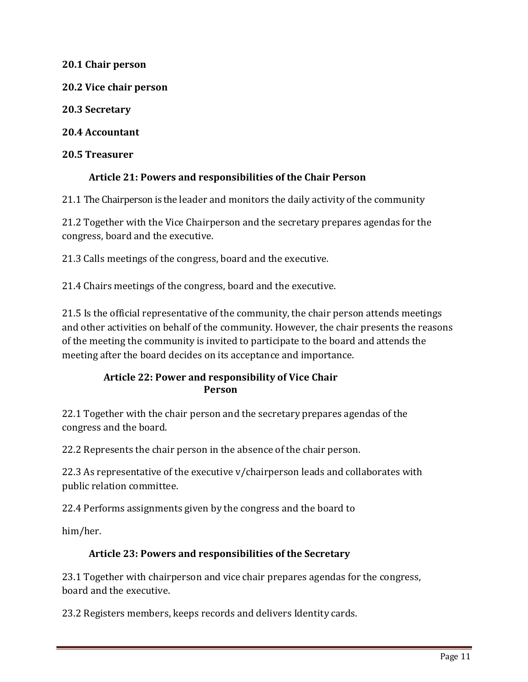**20.1 Chair person**

**20.2 Vice chair person**

**20.3 Secretary**

**20.4 Accountant**

**20.5 Treasurer**

#### **Article 21: Powers and responsibilities of the Chair Person**

21.1 The Chairperson is the leader and monitors the daily activity of the community

21.2 Together with the Vice Chairperson and the secretary prepares agendas for the congress, board and the executive.

21.3 Calls meetings of the congress, board and the executive.

21.4 Chairs meetings of the congress, board and the executive.

21.5 Is the official representative of the community, the chair person attends meetings and other activities on behalf of the community. However, the chair presents the reasons of the meeting the community is invited to participate to the board and attends the meeting after the board decides on its acceptance and importance.

#### **Article 22: Power and responsibility of Vice Chair Person**

22.1 Together with the chair person and the secretary prepares agendas of the congress and the board.

22.2 Represents the chair person in the absence of the chair person.

22.3 As representative of the executive v/chairperson leads and collaborates with public relation committee.

22.4 Performs assignments given by the congress and the board to

him/her.

## **Article 23: Powers and responsibilities of the Secretary**

23.1 Together with chairperson and vice chair prepares agendas for the congress, board and the executive.

23.2 Registers members, keeps records and delivers Identity cards.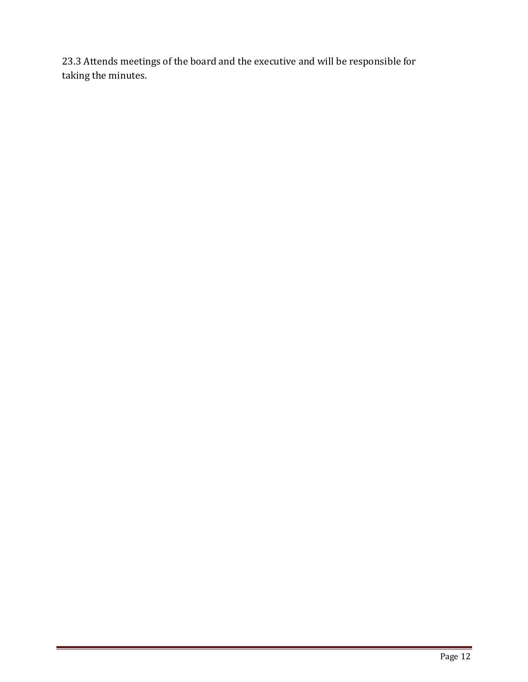23.3 Attends meetings of the board and the executive and will be responsible for taking the minutes.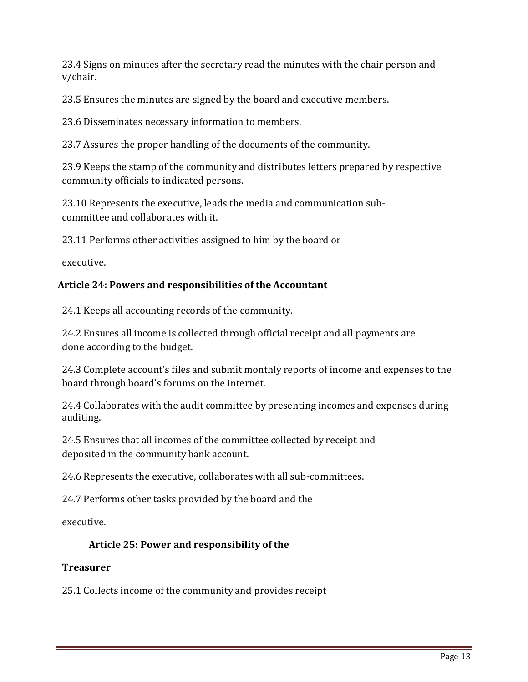23.4 Signs on minutes after the secretary read the minutes with the chair person and v/chair.

23.5 Ensures the minutes are signed by the board and executive members.

23.6 Disseminates necessary information to members.

23.7 Assures the proper handling of the documents of the community.

23.9 Keeps the stamp of the community and distributes letters prepared by respective community officials to indicated persons.

23.10 Represents the executive, leads the media and communication subcommittee and collaborates with it.

23.11 Performs other activities assigned to him by the board or

executive.

#### **Article 24: Powers and responsibilities of the Accountant**

24.1 Keeps all accounting records of the community.

24.2 Ensures all income is collected through official receipt and all payments are done according to the budget.

24.3 Complete account's files and submit monthly reports of income and expenses to the board through board's forums on the internet.

24.4 Collaborates with the audit committee by presenting incomes and expenses during auditing.

24.5 Ensures that all incomes of the committee collected by receipt and deposited in the community bank account.

24.6 Represents the executive, collaborates with all sub-committees.

24.7 Performs other tasks provided by the board and the

executive.

## **Article 25: Power and responsibility of the**

#### **Treasurer**

25.1 Collects income of the community and provides receipt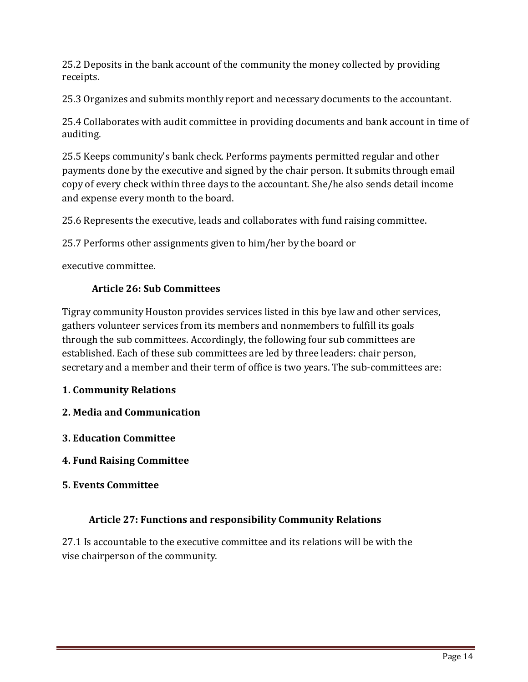25.2 Deposits in the bank account of the community the money collected by providing receipts.

25.3 Organizes and submits monthly report and necessary documents to the accountant.

25.4 Collaborates with audit committee in providing documents and bank account in time of auditing.

25.5 Keeps community's bank check. Performs payments permitted regular and other payments done by the executive and signed by the chair person. It submits through email copy of every check within three days to the accountant. She/he also sends detail income and expense every month to the board.

25.6 Represents the executive, leads and collaborates with fund raising committee.

25.7 Performs other assignments given to him/her by the board or

executive committee.

#### **Article 26: Sub Committees**

Tigray community Houston provides services listed in this bye law and other services, gathers volunteer services from its members and nonmembers to fulfill its goals through the sub committees. Accordingly, the following four sub committees are established. Each of these sub committees are led by three leaders: chair person, secretary and a member and their term of office is two years. The sub-committees are:

## **1. Community Relations**

- **2. Media and Communication**
- **3. Education Committee**
- **4. Fund Raising Committee**
- **5. Events Committee**

#### **Article 27: Functions and responsibility Community Relations**

27.1 Is accountable to the executive committee and its relations will be with the vise chairperson of the community.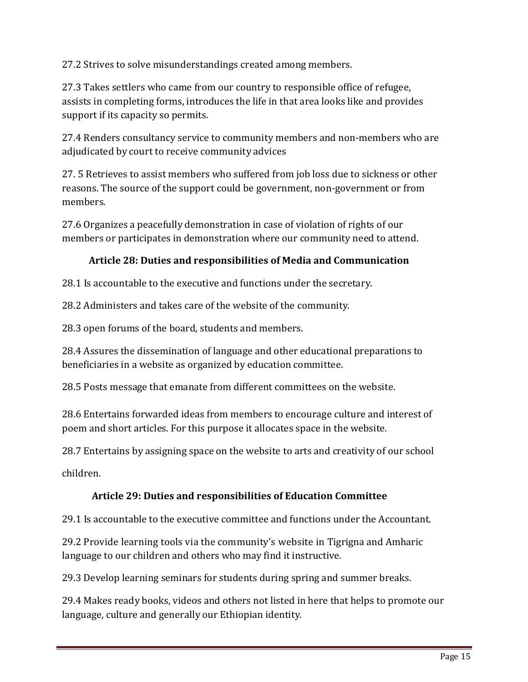27.2 Strives to solve misunderstandings created among members.

27.3 Takes settlers who came from our country to responsible office of refugee, assists in completing forms, introduces the life in that area looks like and provides support if its capacity so permits.

27.4 Renders consultancy service to community members and non-members who are adjudicated by court to receive community advices

27. 5 Retrieves to assist members who suffered from job loss due to sickness or other reasons. The source of the support could be government, non-government or from members.

27.6 Organizes a peacefully demonstration in case of violation of rights of our members or participates in demonstration where our community need to attend.

## **Article 28: Duties and responsibilities of Media and Communication**

28.1 Is accountable to the executive and functions under the secretary.

28.2 Administers and takes care of the website of the community.

28.3 open forums of the board, students and members.

28.4 Assures the dissemination of language and other educational preparations to beneficiaries in a website as organized by education committee.

28.5 Posts message that emanate from different committees on the website.

28.6 Entertains forwarded ideas from members to encourage culture and interest of poem and short articles. For this purpose it allocates space in the website.

28.7 Entertains by assigning space on the website to arts and creativity of our school

children.

## **Article 29: Duties and responsibilities of Education Committee**

29.1 Is accountable to the executive committee and functions under the Accountant.

29.2 Provide learning tools via the community's website in Tigrigna and Amharic language to our children and others who may find it instructive.

29.3 Develop learning seminars for students during spring and summer breaks.

29.4 Makes ready books, videos and others not listed in here that helps to promote our language, culture and generally our Ethiopian identity.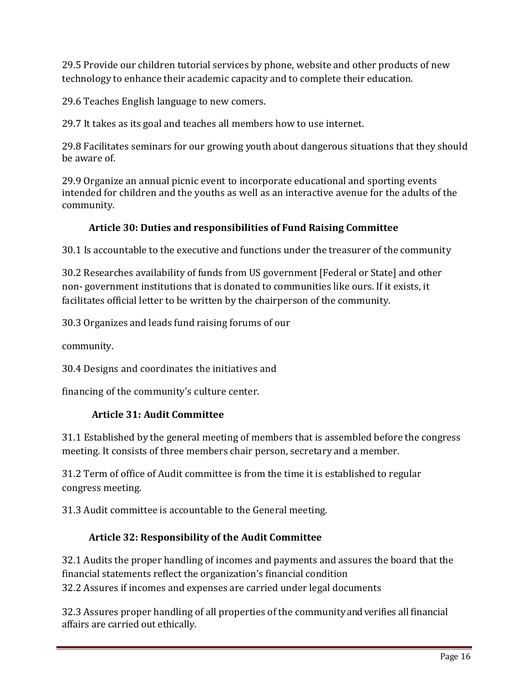29.5 Provide our children tutorial services by phone, website and other products of new technology to enhance their academic capacity and to complete their education.

29.6 Teaches English language to new comers.

29.7 It takes as its goal and teaches all members how to use internet.

29.8 Facilitates seminars for our growing youth about dangerous situations that they should be aware of.

29.9 Organize an annual picnic event to incorporate educational and sporting events intended for children and the youths as well as an interactive avenue for the adults of the community.

## **Article 30: Duties and responsibilities of Fund Raising Committee**

30.1 Is accountable to the executive and functions under the treasurer of the community

30.2 Researches availability of funds from US government [Federal or State] and other non- government institutions that is donated to communities like ours. If it exists, it facilitates official letter to be written by the chairperson of the community.

30.3 Organizes and leads fund raising forums of our

community.

30.4 Designs and coordinates the initiatives and

financing of the community's culture center.

## **Article 31: Audit Committee**

31.1 Established by the general meeting of members that is assembled before the congress meeting. It consists of three members chair person, secretary and a member.

31.2 Term of office of Audit committee is from the time it is established to regular congress meeting.

31.3 Audit committee is accountable to the General meeting.

## **Article 32: Responsibility of the Audit Committee**

32.1 Audits the proper handling of incomes and payments and assures the board that the financial statements reflect the organization's financial condition 32.2 Assures if incomes and expenses are carried under legal documents

32.3 Assures proper handling of all properties of the community and verifies all financial affairs are carried out ethically.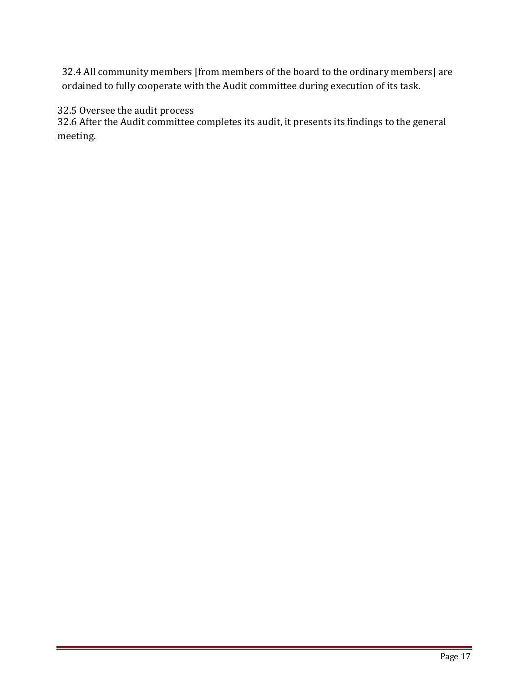32.4 All community members [from members of the board to the ordinary members] are ordained to fully cooperate with the Audit committee during execution of its task.

#### 32.5 Oversee the audit process

32.6 After the Audit committee completes its audit, it presents its findings to the general meeting.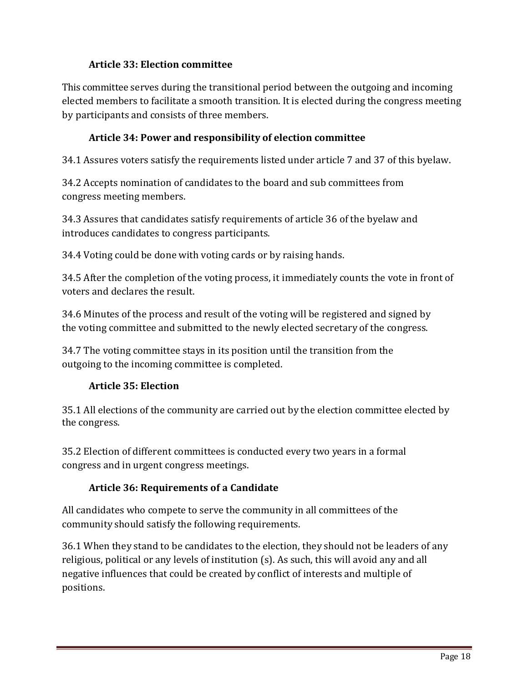## **Article 33: Election committee**

This committee serves during the transitional period between the outgoing and incoming elected members to facilitate a smooth transition. It is elected during the congress meeting by participants and consists of three members.

## **Article 34: Power and responsibility of election committee**

34.1 Assures voters satisfy the requirements listed under article 7 and 37 of this byelaw.

34.2 Accepts nomination of candidates to the board and sub committees from congress meeting members.

34.3 Assures that candidates satisfy requirements of article 36 of the byelaw and introduces candidates to congress participants.

34.4 Voting could be done with voting cards or by raising hands.

34.5 After the completion of the voting process, it immediately counts the vote in front of voters and declares the result.

34.6 Minutes of the process and result of the voting will be registered and signed by the voting committee and submitted to the newly elected secretary of the congress.

34.7 The voting committee stays in its position until the transition from the outgoing to the incoming committee is completed.

## **Article 35: Election**

35.1 All elections of the community are carried out by the election committee elected by the congress.

35.2 Election of different committees is conducted every two years in a formal congress and in urgent congress meetings.

## **Article 36: Requirements of a Candidate**

All candidates who compete to serve the community in all committees of the community should satisfy the following requirements.

36.1 When they stand to be candidates to the election, they should not be leaders of any religious, political or any levels of institution (s). As such, this will avoid any and all negative influences that could be created by conflict of interests and multiple of positions.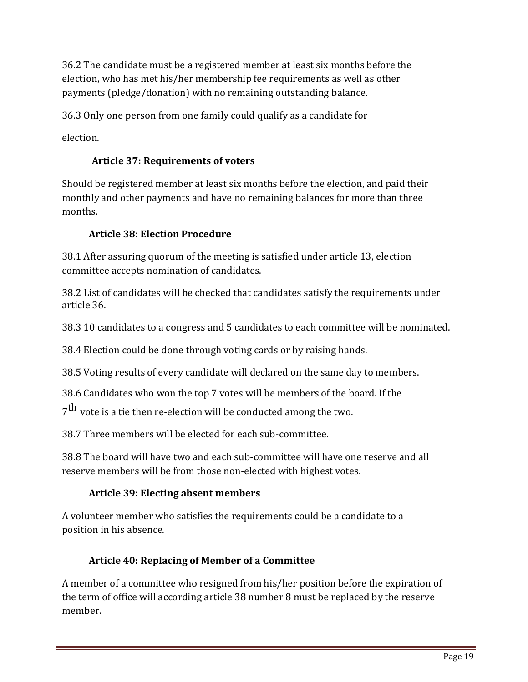36.2 The candidate must be a registered member at least six months before the election, who has met his/her membership fee requirements as well as other payments (pledge/donation) with no remaining outstanding balance.

36.3 Only one person from one family could qualify as a candidate for

election.

# **Article 37: Requirements of voters**

Should be registered member at least six months before the election, and paid their monthly and other payments and have no remaining balances for more than three months.

# **Article 38: Election Procedure**

38.1 After assuring quorum of the meeting is satisfied under article 13, election committee accepts nomination of candidates.

38.2 List of candidates will be checked that candidates satisfy the requirements under article 36.

38.3 10 candidates to a congress and 5 candidates to each committee will be nominated.

38.4 Election could be done through voting cards or by raising hands.

38.5 Voting results of every candidate will declared on the same day to members.

38.6 Candidates who won the top 7 votes will be members of the board. If the

 $7^{\rm th}$  vote is a tie then re-election will be conducted among the two.

38.7 Three members will be elected for each sub-committee.

38.8 The board will have two and each sub-committee will have one reserve and all reserve members will be from those non-elected with highest votes.

# **Article 39: Electing absent members**

A volunteer member who satisfies the requirements could be a candidate to a position in his absence.

# **Article 40: Replacing of Member of a Committee**

A member of a committee who resigned from his/her position before the expiration of the term of office will according article 38 number 8 must be replaced by the reserve member.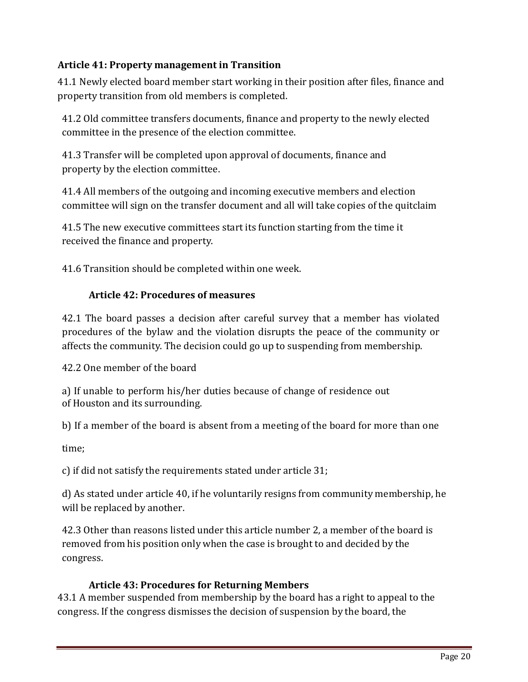## **Article 41: Property management in Transition**

41.1 Newly elected board member start working in their position after files, finance and property transition from old members is completed.

41.2 Old committee transfers documents, finance and property to the newly elected committee in the presence of the election committee.

41.3 Transfer will be completed upon approval of documents, finance and property by the election committee.

41.4 All members of the outgoing and incoming executive members and election committee will sign on the transfer document and all will take copies of the quitclaim

41.5 The new executive committees start its function starting from the time it received the finance and property.

41.6 Transition should be completed within one week.

## **Article 42: Procedures of measures**

42.1 The board passes a decision after careful survey that a member has violated procedures of the bylaw and the violation disrupts the peace of the community or affects the community. The decision could go up to suspending from membership.

42.2 One member of the board

a) If unable to perform his/her duties because of change of residence out of Houston and its surrounding.

b) If a member of the board is absent from a meeting of the board for more than one

time;

c) if did not satisfy the requirements stated under article 31;

d) As stated under article 40, if he voluntarily resigns from community membership, he will be replaced by another.

42.3 Other than reasons listed under this article number 2, a member of the board is removed from his position only when the case is brought to and decided by the congress.

## **Article 43: Procedures for Returning Members**

43.1 A member suspended from membership by the board has a right to appeal to the congress. If the congress dismisses the decision of suspension by the board, the